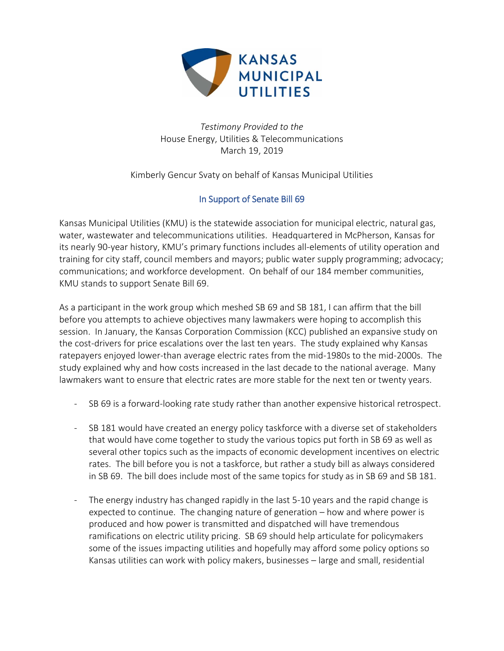

*Testimony Provided to the* House Energy, Utilities & Telecommunications March 19, 2019

Kimberly Gencur Svaty on behalf of Kansas Municipal Utilities

## In Support of Senate Bill 69

Kansas Municipal Utilities (KMU) is the statewide association for municipal electric, natural gas, water, wastewater and telecommunications utilities. Headquartered in McPherson, Kansas for its nearly 90-year history, KMU's primary functions includes all-elements of utility operation and training for city staff, council members and mayors; public water supply programming; advocacy; communications; and workforce development. On behalf of our 184 member communities, KMU stands to support Senate Bill 69.

As a participant in the work group which meshed SB 69 and SB 181, I can affirm that the bill before you attempts to achieve objectives many lawmakers were hoping to accomplish this session. In January, the Kansas Corporation Commission (KCC) published an expansive study on the cost-drivers for price escalations over the last ten years. The study explained why Kansas ratepayers enjoyed lower-than average electric rates from the mid-1980s to the mid-2000s. The study explained why and how costs increased in the last decade to the national average. Many lawmakers want to ensure that electric rates are more stable for the next ten or twenty years.

- SB 69 is a forward-looking rate study rather than another expensive historical retrospect.
- SB 181 would have created an energy policy taskforce with a diverse set of stakeholders that would have come together to study the various topics put forth in SB 69 as well as several other topics such as the impacts of economic development incentives on electric rates. The bill before you is not a taskforce, but rather a study bill as always considered in SB 69. The bill does include most of the same topics for study as in SB 69 and SB 181.
- The energy industry has changed rapidly in the last 5-10 years and the rapid change is expected to continue. The changing nature of generation – how and where power is produced and how power is transmitted and dispatched will have tremendous ramifications on electric utility pricing. SB 69 should help articulate for policymakers some of the issues impacting utilities and hopefully may afford some policy options so Kansas utilities can work with policy makers, businesses – large and small, residential